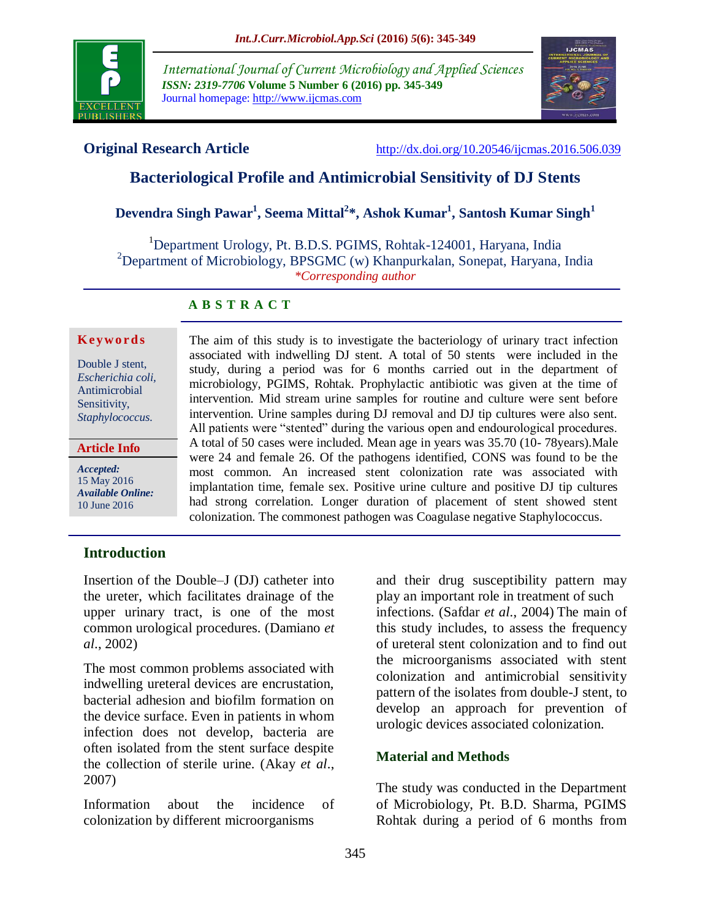

*International Journal of Current Microbiology and Applied Sciences ISSN: 2319-7706* **Volume 5 Number 6 (2016) pp. 345-349** Journal homepage: http://www.ijcmas.com



**Original Research Article** <http://dx.doi.org/10.20546/ijcmas.2016.506.039>

# **Bacteriological Profile and Antimicrobial Sensitivity of DJ Stents**

# **Devendra Singh Pawar<sup>1</sup> , Seema Mittal<sup>2</sup> \*, Ashok Kumar<sup>1</sup> , Santosh Kumar Singh<sup>1</sup>**

<sup>1</sup>Department Urology, Pt. B.D.S. PGIMS, Rohtak-124001, Haryana, India <sup>2</sup>Department of Microbiology, BPSGMC (w) Khanpurkalan, Sonepat, Haryana, India *\*Corresponding author*

## **A B S T R A C T**

#### **K ey w o rd s**

Double J stent, *Escherichia coli,* Antimicrobial Sensitivity, *Staphylococcus.*

**Article Info**

*Accepted:*  15 May 2016 *Available Online:* 10 June 2016

The aim of this study is to investigate the bacteriology of urinary tract infection associated with indwelling DJ stent. A total of 50 stents were included in the study, during a period was for 6 months carried out in the department of microbiology, PGIMS, Rohtak. Prophylactic antibiotic was given at the time of intervention. Mid stream urine samples for routine and culture were sent before intervention. Urine samples during DJ removal and DJ tip cultures were also sent. All patients were "stented" during the various open and endourological procedures. A total of 50 cases were included. Mean age in years was 35.70 (10- 78years).Male were 24 and female 26. Of the pathogens identified, CONS was found to be the most common. An increased stent colonization rate was associated with implantation time, female sex. Positive urine culture and positive DJ tip cultures had strong correlation. Longer duration of placement of stent showed stent colonization. The commonest pathogen was Coagulase negative Staphylococcus.

# **Introduction**

Insertion of the Double–J (DJ) catheter into the ureter, which facilitates drainage of the upper urinary tract, is one of the most common urological procedures. (Damiano *et al*., 2002)

The most common problems associated with indwelling ureteral devices are encrustation, bacterial adhesion and biofilm formation on the device surface. Even in patients in whom infection does not develop, bacteria are often isolated from the stent surface despite the collection of sterile urine. (Akay *et al*., 2007)

Information about the incidence of colonization by different microorganisms

and their drug susceptibility pattern may play an important role in treatment of such infections. (Safdar *et al*., 2004) The main of this study includes, to assess the frequency of ureteral stent colonization and to find out the microorganisms associated with stent colonization and antimicrobial sensitivity pattern of the isolates from double-J stent, to develop an approach for prevention of urologic devices associated colonization.

# **Material and Methods**

The study was conducted in the Department of Microbiology, Pt. B.D. Sharma, PGIMS Rohtak during a period of 6 months from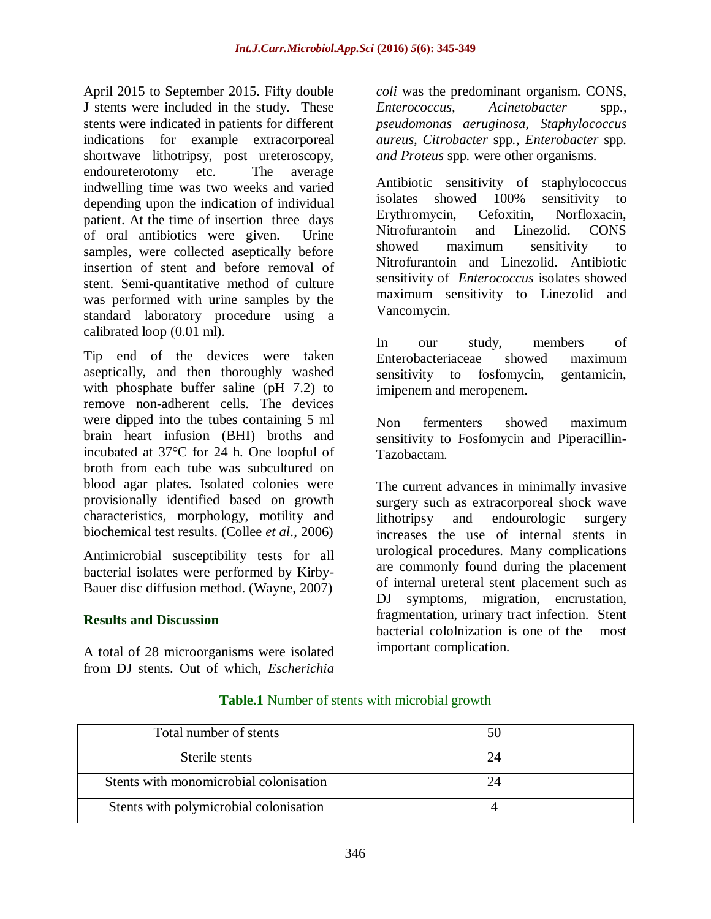April 2015 to September 2015. Fifty double J stents were included in the study. These stents were indicated in patients for different indications for example extracorporeal shortwave lithotripsy, post ureteroscopy, endoureterotomy etc. The average indwelling time was two weeks and varied depending upon the indication of individual patient. At the time of insertion three days of oral antibiotics were given. Urine samples, were collected aseptically before insertion of stent and before removal of stent. Semi-quantitative method of culture was performed with urine samples by the standard laboratory procedure using a calibrated loop (0.01 ml).

Tip end of the devices were taken aseptically, and then thoroughly washed with phosphate buffer saline (pH 7.2) to remove non-adherent cells. The devices were dipped into the tubes containing 5 ml brain heart infusion (BHI) broths and incubated at 37°C for 24 h. One loopful of broth from each tube was subcultured on blood agar plates. Isolated colonies were provisionally identified based on growth characteristics, morphology, motility and biochemical test results. (Collee *et al*., 2006)

Antimicrobial susceptibility tests for all bacterial isolates were performed by Kirby-Bauer disc diffusion method. (Wayne, 2007)

# **Results and Discussion**

A total of 28 microorganisms were isolated from DJ stents. Out of which, *Escherichia* 

*coli* was the predominant organism. CONS, *Enterococcus, Acinetobacter* spp*., pseudomonas aeruginosa, Staphylococcus aureus, Citrobacter* spp*., Enterobacter* spp*. and Proteus* spp*.* were other organisms.

Antibiotic sensitivity of staphylococcus isolates showed 100% sensitivity to Erythromycin, Cefoxitin, Norfloxacin, Nitrofurantoin and Linezolid. CONS showed maximum sensitivity to Nitrofurantoin and Linezolid. Antibiotic sensitivity of *Enterococcus* isolates showed maximum sensitivity to Linezolid and Vancomycin.

In our study, members of Enterobacteriaceae showed maximum sensitivity to fosfomycin, gentamicin, imipenem and meropenem.

Non fermenters showed maximum sensitivity to Fosfomycin and Piperacillin-Tazobactam.

The current advances in minimally invasive surgery such as extracorporeal shock wave lithotripsy and endourologic surgery increases the use of internal stents in urological procedures. Many complications are commonly found during the placement of internal ureteral stent placement such as DJ symptoms, migration, encrustation, fragmentation, urinary tract infection. Stent bacterial cololnization is one of the most important complication.

| Total number of stents                 |  |
|----------------------------------------|--|
| Sterile stents                         |  |
| Stents with monomicrobial colonisation |  |
| Stents with polymicrobial colonisation |  |

#### **Table.1** Number of stents with microbial growth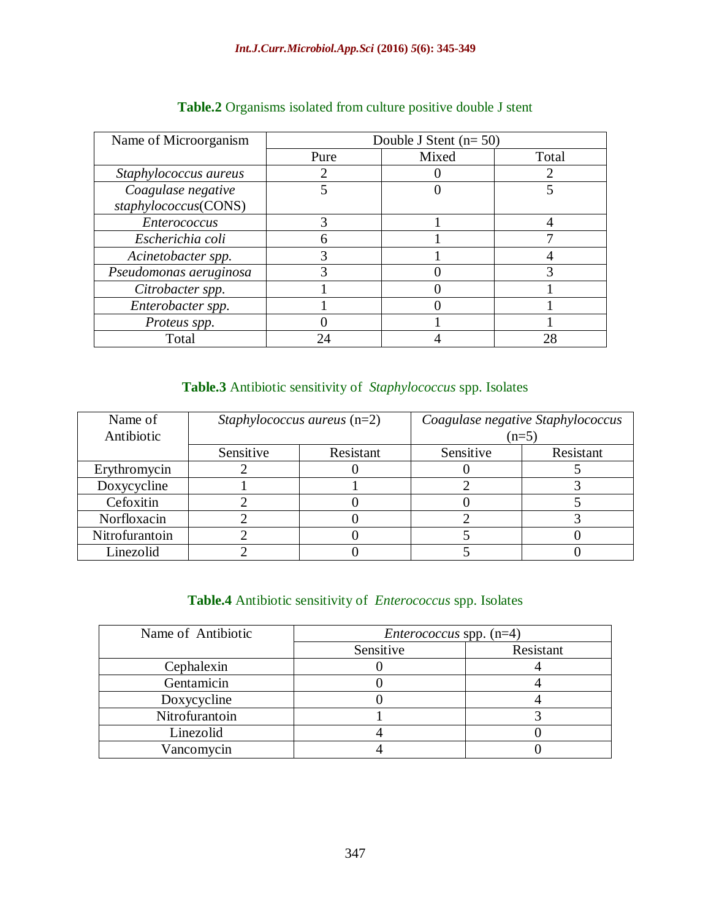| Name of Microorganism  | Double J Stent $(n=50)$ |       |       |
|------------------------|-------------------------|-------|-------|
|                        | Pure                    | Mixed | Total |
| Staphylococcus aureus  |                         |       | 2     |
| Coagulase negative     |                         |       |       |
| staphylococcus(CONS)   |                         |       |       |
| <b>Enterococcus</b>    |                         |       |       |
| Escherichia coli       |                         |       |       |
| Acinetobacter spp.     |                         |       |       |
| Pseudomonas aeruginosa |                         |       |       |
| Citrobacter spp.       |                         |       |       |
| Enterobacter spp.      |                         |       |       |
| Proteus spp.           |                         |       |       |
| Total                  | 7Δ                      |       | 28    |

# **Table.2** Organisms isolated from culture positive double J stent

# **Table.3** Antibiotic sensitivity of *Staphylococcus* spp. Isolates

| Name of        |           | <i>Staphylococcus aureus</i> $(n=2)$ |           | Coagulase negative Staphylococcus |
|----------------|-----------|--------------------------------------|-----------|-----------------------------------|
| Antibiotic     |           |                                      |           | $(n=5)$                           |
|                | Sensitive | Resistant                            | Sensitive | Resistant                         |
| Erythromycin   |           |                                      |           |                                   |
| Doxycycline    |           |                                      |           |                                   |
| Cefoxitin      |           |                                      |           |                                   |
| Norfloxacin    |           |                                      |           |                                   |
| Nitrofurantoin |           |                                      |           |                                   |
| Linezolid      |           |                                      |           |                                   |

# **Table.4** Antibiotic sensitivity of *Enterococcus* spp. Isolates

| Name of Antibiotic | <i>Enterococcus</i> spp. $(n=4)$ |           |
|--------------------|----------------------------------|-----------|
|                    | Sensitive                        | Resistant |
| Cephalexin         |                                  |           |
| Gentamicin         |                                  |           |
| Doxycycline        |                                  |           |
| Nitrofurantoin     |                                  |           |
| Linezolid          |                                  |           |
| Vancomycin         |                                  |           |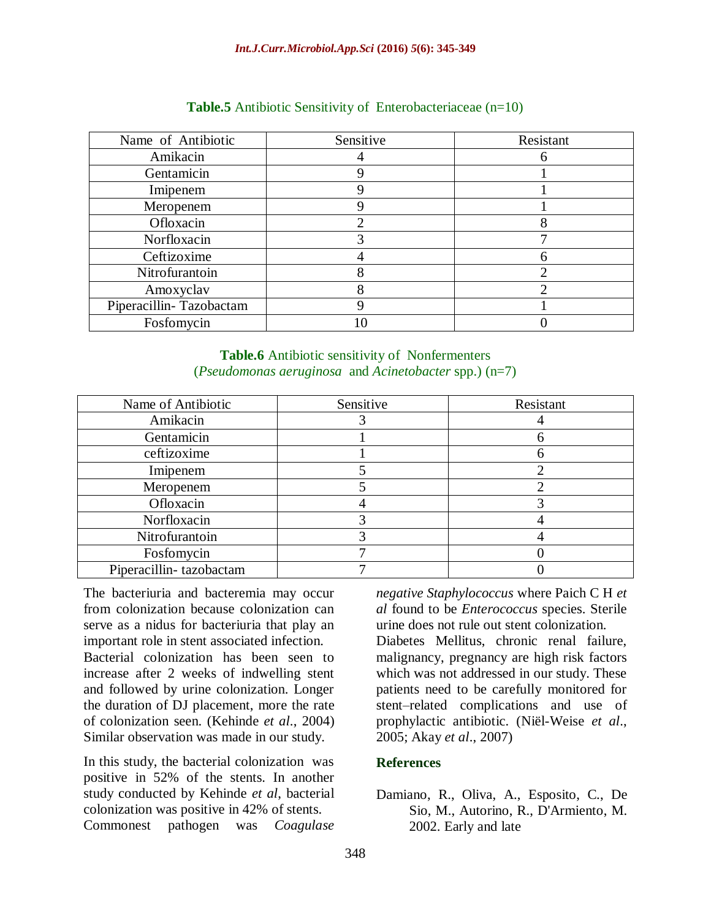| Name of Antibiotic      | Sensitive | Resistant |
|-------------------------|-----------|-----------|
| Amikacin                |           |           |
| Gentamicin              |           |           |
| Imipenem                |           |           |
| Meropenem               |           |           |
| Ofloxacin               |           |           |
| Norfloxacin             |           |           |
| Ceftizoxime             |           |           |
| Nitrofurantoin          |           |           |
| Amoxyclav               |           |           |
| Piperacillin-Tazobactam |           |           |
| Fosfomycin              |           |           |

## **Table.5** Antibiotic Sensitivity of Enterobacteriaceae (n=10)

#### **Table.6** Antibiotic sensitivity of Nonfermenters (*Pseudomonas aeruginosa* and *Acinetobacter* spp.) (n=7)

| Name of Antibiotic      | Sensitive | Resistant |
|-------------------------|-----------|-----------|
| Amikacin                |           |           |
| Gentamicin              |           |           |
| ceftizoxime             |           |           |
| Imipenem                |           |           |
| Meropenem               |           |           |
| Ofloxacin               |           |           |
| Norfloxacin             |           |           |
| Nitrofurantoin          |           |           |
| Fosfomycin              |           |           |
| Piperacillin-tazobactam |           |           |

The bacteriuria and bacteremia may occur from colonization because colonization can serve as a nidus for bacteriuria that play an important role in stent associated infection.

Bacterial colonization has been seen to increase after 2 weeks of indwelling stent and followed by urine colonization. Longer the duration of DJ placement, more the rate of colonization seen. (Kehinde *et al*., 2004) Similar observation was made in our study.

In this study, the bacterial colonization was positive in 52% of the stents. In another study conducted by Kehinde *et al*, bacterial colonization was positive in 42% of stents. Commonest pathogen was *Coagulase* 

*negative Staphylococcus* where Paich C H *et al* found to be *Enterococcus* species. Sterile urine does not rule out stent colonization.

Diabetes Mellitus, chronic renal failure, malignancy, pregnancy are high risk factors which was not addressed in our study. These patients need to be carefully monitored for stent–related complications and use of prophylactic antibiotic. (Niël-Weise *et al*., 2005; Akay *et al*., 2007)

# **References**

## Damiano, R., Oliva, A., Esposito, C., De Sio, M., Autorino, R., D'Armiento, M. 2002. Early and late